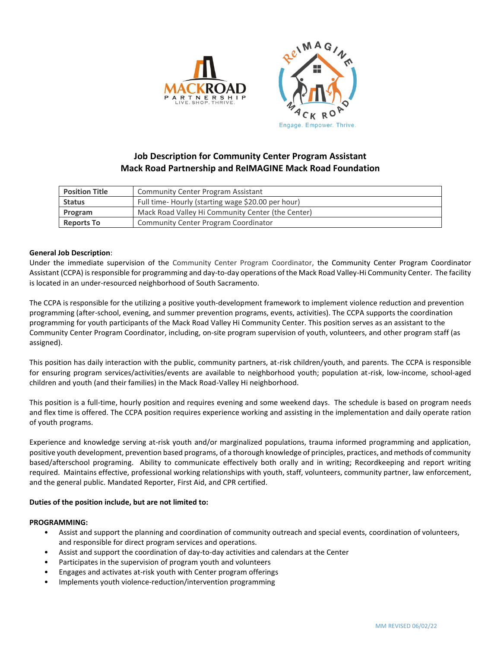

# **Job Description for Community Center Program Assistant Mack Road Partnership and ReIMAGINE Mack Road Foundation**

| <b>Position Title</b> | Community Center Program Assistant                |
|-----------------------|---------------------------------------------------|
| <b>Status</b>         | Full time-Hourly (starting wage \$20.00 per hour) |
| Program               | Mack Road Valley Hi Community Center (the Center) |
| <b>Reports To</b>     | Community Center Program Coordinator              |

## **General Job Description**:

Under the immediate supervision of the Community Center Program Coordinator, the Community Center Program Coordinator Assistant (CCPA) is responsible for programming and day-to-day operations of the Mack Road Valley-Hi Community Center. The facility is located in an under-resourced neighborhood of South Sacramento.

The CCPA is responsible for the utilizing a positive youth-development framework to implement violence reduction and prevention programming (after-school, evening, and summer prevention programs, events, activities). The CCPA supports the coordination programming for youth participants of the Mack Road Valley Hi Community Center. This position serves as an assistant to the Community Center Program Coordinator, including, on-site program supervision of youth, volunteers, and other program staff (as assigned).

This position has daily interaction with the public, community partners, at-risk children/youth, and parents. The CCPA is responsible for ensuring program services/activities/events are available to neighborhood youth; population at-risk, low-income, school-aged children and youth (and their families) in the Mack Road-Valley Hi neighborhood.

This position is a full-time, hourly position and requires evening and some weekend days. The schedule is based on program needs and flex time is offered. The CCPA position requires experience working and assisting in the implementation and daily operate ration of youth programs.

Experience and knowledge serving at-risk youth and/or marginalized populations, trauma informed programming and application, positive youth development, prevention based programs, of a thorough knowledge of principles, practices, and methods of community based/afterschool programing. Ability to communicate effectively both orally and in writing; Recordkeeping and report writing required. Maintains effective, professional working relationships with youth, staff, volunteers, community partner, law enforcement, and the general public. Mandated Reporter, First Aid, and CPR certified.

## **Duties of the position include, but are not limited to:**

#### **PROGRAMMING:**

- Assist and support the planning and coordination of community outreach and special events, coordination of volunteers, and responsible for direct program services and operations.
- Assist and support the coordination of day-to-day activities and calendars at the Center
- Participates in the supervision of program youth and volunteers
- Engages and activates at-risk youth with Center program offerings
- Implements youth violence-reduction/intervention programming